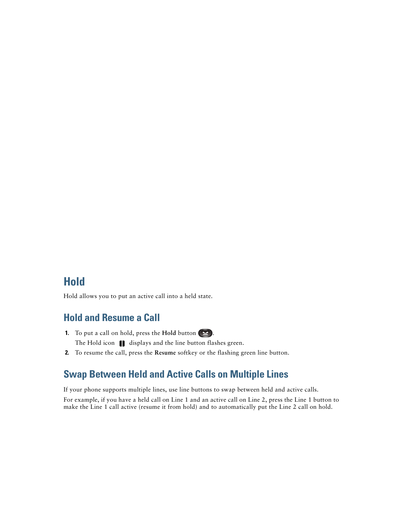# **Hold**

Hold allows you to put an active call into a held state.

## **Hold and Resume a Call**

- **1.** To put a call on hold, press the **Hold** button  $(2)$ . The Hold icon  $\Box$  displays and the line button flashes green.
- **2.** To resume the call, press the **Resume** softkey or the flashing green line button.

#### **Swap Between Held and Active Calls on Multiple Lines**

If your phone supports multiple lines, use line buttons to swap between held and active calls. For example, if you have a held call on Line 1 and an active call on Line 2, press the Line 1 button to make the Line 1 call active (resume it from hold) and to automatically put the Line 2 call on hold.